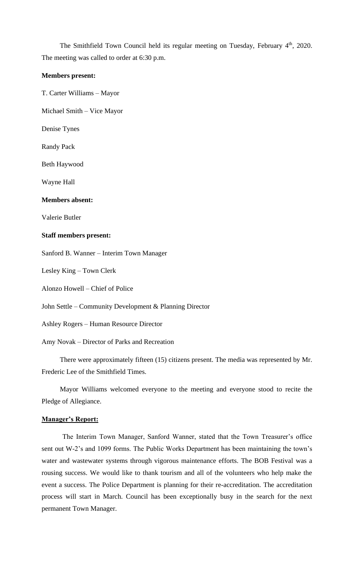The Smithfield Town Council held its regular meeting on Tuesday, February 4<sup>th</sup>, 2020. The meeting was called to order at 6:30 p.m.

#### **Members present:**

T. Carter Williams – Mayor

Michael Smith – Vice Mayor

Denise Tynes

Randy Pack

Beth Haywood

Wayne Hall

#### **Members absent:**

Valerie Butler

### **Staff members present:**

Sanford B. Wanner – Interim Town Manager

Lesley King – Town Clerk

Alonzo Howell – Chief of Police

John Settle – Community Development & Planning Director

Ashley Rogers – Human Resource Director

Amy Novak – Director of Parks and Recreation

There were approximately fifteen (15) citizens present. The media was represented by Mr. Frederic Lee of the Smithfield Times.

Mayor Williams welcomed everyone to the meeting and everyone stood to recite the Pledge of Allegiance.

#### **Manager's Report:**

The Interim Town Manager, Sanford Wanner, stated that the Town Treasurer's office sent out W-2's and 1099 forms. The Public Works Department has been maintaining the town's water and wastewater systems through vigorous maintenance efforts. The BOB Festival was a rousing success. We would like to thank tourism and all of the volunteers who help make the event a success. The Police Department is planning for their re-accreditation. The accreditation process will start in March. Council has been exceptionally busy in the search for the next permanent Town Manager.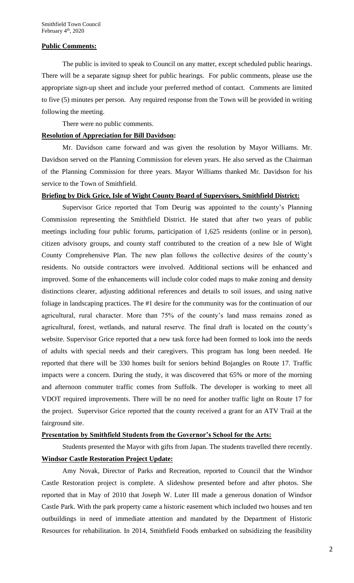#### **Public Comments:**

The public is invited to speak to Council on any matter, except scheduled public hearings. There will be a separate signup sheet for public hearings. For public comments, please use the appropriate sign-up sheet and include your preferred method of contact. Comments are limited to five (5) minutes per person. Any required response from the Town will be provided in writing following the meeting.

There were no public comments.

#### **Resolution of Appreciation for Bill Davidson:**

Mr. Davidson came forward and was given the resolution by Mayor Williams. Mr. Davidson served on the Planning Commission for eleven years. He also served as the Chairman of the Planning Commission for three years. Mayor Williams thanked Mr. Davidson for his service to the Town of Smithfield.

### **Briefing by Dick Grice, Isle of Wight County Board of Supervisors, Smithfield District:**

Supervisor Grice reported that Tom Deurig was appointed to the county's Planning Commission representing the Smithfield District. He stated that after two years of public meetings including four public forums, participation of 1,625 residents (online or in person), citizen advisory groups, and county staff contributed to the creation of a new Isle of Wight County Comprehensive Plan. The new plan follows the collective desires of the county's residents. No outside contractors were involved. Additional sections will be enhanced and improved. Some of the enhancements will include color coded maps to make zoning and density distinctions clearer, adjusting additional references and details to soil issues, and using native foliage in landscaping practices. The #1 desire for the community was for the continuation of our agricultural, rural character. More than 75% of the county's land mass remains zoned as agricultural, forest, wetlands, and natural reserve. The final draft is located on the county's website. Supervisor Grice reported that a new task force had been formed to look into the needs of adults with special needs and their caregivers. This program has long been needed. He reported that there will be 330 homes built for seniors behind Bojangles on Route 17. Traffic impacts were a concern. During the study, it was discovered that 65% or more of the morning and afternoon commuter traffic comes from Suffolk. The developer is working to meet all VDOT required improvements. There will be no need for another traffic light on Route 17 for the project. Supervisor Grice reported that the county received a grant for an ATV Trail at the fairground site.

# **Presentation by Smithfield Students from the Governor's School for the Arts:**

Students presented the Mayor with gifts from Japan. The students travelled there recently. **Windsor Castle Restoration Project Update:**

Amy Novak, Director of Parks and Recreation, reported to Council that the Windsor Castle Restoration project is complete. A slideshow presented before and after photos. She reported that in May of 2010 that Joseph W. Luter III made a generous donation of Windsor Castle Park. With the park property came a historic easement which included two houses and ten outbuildings in need of immediate attention and mandated by the Department of Historic Resources for rehabilitation. In 2014, Smithfield Foods embarked on subsidizing the feasibility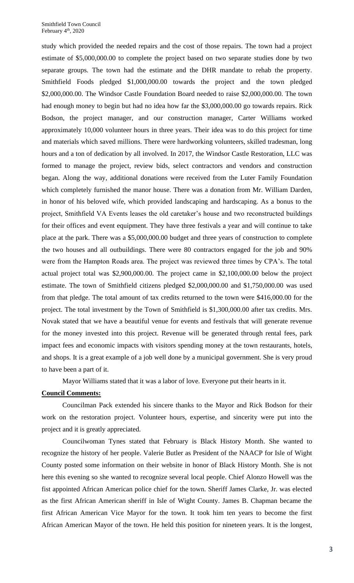study which provided the needed repairs and the cost of those repairs. The town had a project estimate of \$5,000,000.00 to complete the project based on two separate studies done by two separate groups. The town had the estimate and the DHR mandate to rehab the property. Smithfield Foods pledged \$1,000,000.00 towards the project and the town pledged \$2,000,000.00. The Windsor Castle Foundation Board needed to raise \$2,000,000.00. The town had enough money to begin but had no idea how far the \$3,000,000.00 go towards repairs. Rick Bodson, the project manager, and our construction manager, Carter Williams worked approximately 10,000 volunteer hours in three years. Their idea was to do this project for time and materials which saved millions. There were hardworking volunteers, skilled tradesman, long hours and a ton of dedication by all involved. In 2017, the Windsor Castle Restoration, LLC was formed to manage the project, review bids, select contractors and vendors and construction began. Along the way, additional donations were received from the Luter Family Foundation which completely furnished the manor house. There was a donation from Mr. William Darden, in honor of his beloved wife, which provided landscaping and hardscaping. As a bonus to the project, Smithfield VA Events leases the old caretaker's house and two reconstructed buildings for their offices and event equipment. They have three festivals a year and will continue to take place at the park. There was a \$5,000,000.00 budget and three years of construction to complete the two houses and all outbuildings. There were 80 contractors engaged for the job and 90% were from the Hampton Roads area. The project was reviewed three times by CPA's. The total actual project total was \$2,900,000.00. The project came in \$2,100,000.00 below the project estimate. The town of Smithfield citizens pledged \$2,000,000.00 and \$1,750,000.00 was used from that pledge. The total amount of tax credits returned to the town were \$416,000.00 for the project. The total investment by the Town of Smithfield is \$1,300,000.00 after tax credits. Mrs. Novak stated that we have a beautiful venue for events and festivals that will generate revenue for the money invested into this project. Revenue will be generated through rental fees, park impact fees and economic impacts with visitors spending money at the town restaurants, hotels, and shops. It is a great example of a job well done by a municipal government. She is very proud to have been a part of it.

Mayor Williams stated that it was a labor of love. Everyone put their hearts in it.

# **Council Comments:**

Councilman Pack extended his sincere thanks to the Mayor and Rick Bodson for their work on the restoration project. Volunteer hours, expertise, and sincerity were put into the project and it is greatly appreciated.

Councilwoman Tynes stated that February is Black History Month. She wanted to recognize the history of her people. Valerie Butler as President of the NAACP for Isle of Wight County posted some information on their website in honor of Black History Month. She is not here this evening so she wanted to recognize several local people. Chief Alonzo Howell was the fist appointed African American police chief for the town. Sheriff James Clarke, Jr. was elected as the first African American sheriff in Isle of Wight County. James B. Chapman became the first African American Vice Mayor for the town. It took him ten years to become the first African American Mayor of the town. He held this position for nineteen years. It is the longest,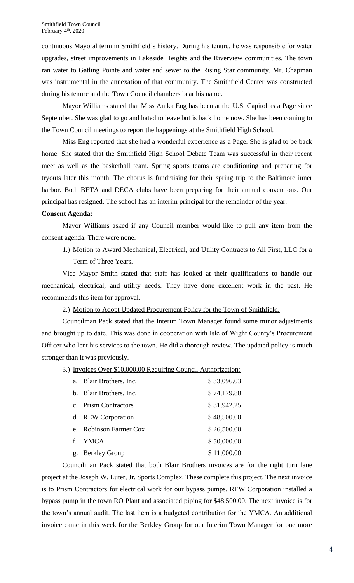continuous Mayoral term in Smithfield's history. During his tenure, he was responsible for water upgrades, street improvements in Lakeside Heights and the Riverview communities. The town ran water to Gatling Pointe and water and sewer to the Rising Star community. Mr. Chapman was instrumental in the annexation of that community. The Smithfield Center was constructed during his tenure and the Town Council chambers bear his name.

Mayor Williams stated that Miss Anika Eng has been at the U.S. Capitol as a Page since September. She was glad to go and hated to leave but is back home now. She has been coming to the Town Council meetings to report the happenings at the Smithfield High School.

Miss Eng reported that she had a wonderful experience as a Page. She is glad to be back home. She stated that the Smithfield High School Debate Team was successful in their recent meet as well as the basketball team. Spring sports teams are conditioning and preparing for tryouts later this month. The chorus is fundraising for their spring trip to the Baltimore inner harbor. Both BETA and DECA clubs have been preparing for their annual conventions. Our principal has resigned. The school has an interim principal for the remainder of the year.

# **Consent Agenda:**

Mayor Williams asked if any Council member would like to pull any item from the consent agenda. There were none.

1.) Motion to Award Mechanical, Electrical, and Utility Contracts to All First, LLC for a Term of Three Years.

Vice Mayor Smith stated that staff has looked at their qualifications to handle our mechanical, electrical, and utility needs. They have done excellent work in the past. He recommends this item for approval.

2.) Motion to Adopt Updated Procurement Policy for the Town of Smithfield.

Councilman Pack stated that the Interim Town Manager found some minor adjustments and brought up to date. This was done in cooperation with Isle of Wight County's Procurement Officer who lent his services to the town. He did a thorough review. The updated policy is much stronger than it was previously.

# 3.) Invoices Over \$10,000.00 Requiring Council Authorization:

| a. Blair Brothers, Inc. | \$33,096.03 |
|-------------------------|-------------|
| b. Blair Brothers, Inc. | \$74,179.80 |
| c. Prism Contractors    | \$31,942.25 |
| d. REW Corporation      | \$48,500.00 |
| e. Robinson Farmer Cox  | \$26,500.00 |
| f. YMCA                 | \$50,000.00 |
| g. Berkley Group        | \$11,000.00 |
|                         |             |

Councilman Pack stated that both Blair Brothers invoices are for the right turn lane project at the Joseph W. Luter, Jr. Sports Complex. These complete this project. The next invoice is to Prism Contractors for electrical work for our bypass pumps. REW Corporation installed a bypass pump in the town RO Plant and associated piping for \$48,500.00. The next invoice is for the town's annual audit. The last item is a budgeted contribution for the YMCA. An additional invoice came in this week for the Berkley Group for our Interim Town Manager for one more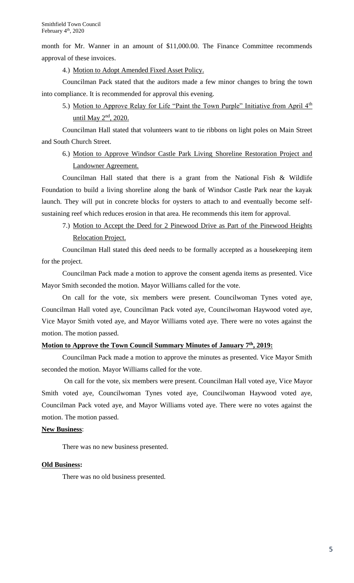month for Mr. Wanner in an amount of \$11,000.00. The Finance Committee recommends approval of these invoices.

4.) Motion to Adopt Amended Fixed Asset Policy.

Councilman Pack stated that the auditors made a few minor changes to bring the town into compliance. It is recommended for approval this evening.

5.) Motion to Approve Relay for Life "Paint the Town Purple" Initiative from April 4<sup>th</sup> until May 2<sup>nd</sup>, 2020.

Councilman Hall stated that volunteers want to tie ribbons on light poles on Main Street and South Church Street.

6.) Motion to Approve Windsor Castle Park Living Shoreline Restoration Project and Landowner Agreement.

Councilman Hall stated that there is a grant from the National Fish & Wildlife Foundation to build a living shoreline along the bank of Windsor Castle Park near the kayak launch. They will put in concrete blocks for oysters to attach to and eventually become selfsustaining reef which reduces erosion in that area. He recommends this item for approval.

7.) Motion to Accept the Deed for 2 Pinewood Drive as Part of the Pinewood Heights Relocation Project.

Councilman Hall stated this deed needs to be formally accepted as a housekeeping item for the project.

Councilman Pack made a motion to approve the consent agenda items as presented. Vice Mayor Smith seconded the motion. Mayor Williams called for the vote.

On call for the vote, six members were present. Councilwoman Tynes voted aye, Councilman Hall voted aye, Councilman Pack voted aye, Councilwoman Haywood voted aye, Vice Mayor Smith voted aye, and Mayor Williams voted aye. There were no votes against the motion. The motion passed.

# **Motion to Approve the Town Council Summary Minutes of January 7th , 2019:**

Councilman Pack made a motion to approve the minutes as presented. Vice Mayor Smith seconded the motion. Mayor Williams called for the vote.

On call for the vote, six members were present. Councilman Hall voted aye, Vice Mayor Smith voted aye, Councilwoman Tynes voted aye, Councilwoman Haywood voted aye, Councilman Pack voted aye, and Mayor Williams voted aye. There were no votes against the motion. The motion passed.

# **New Business**:

There was no new business presented.

#### **Old Business:**

There was no old business presented.